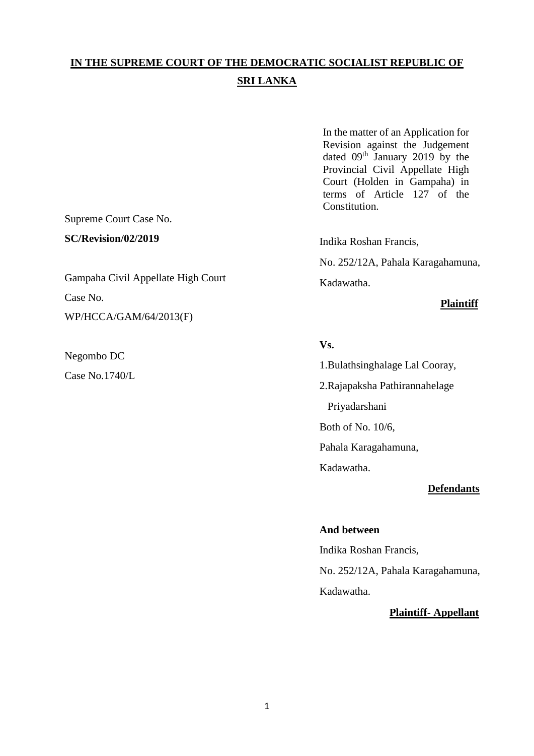# **IN THE SUPREME COURT OF THE DEMOCRATIC SOCIALIST REPUBLIC OF SRI LANKA**

In the matter of an Application for Revision against the Judgement dated 09<sup>th</sup> January 2019 by the Provincial Civil Appellate High Court (Holden in Gampaha) in terms of Article 127 of the Constitution.

Supreme Court Case No.

**SC/Revision/02/2019** 

Gampaha Civil Appellate High Court Case No. WP/HCCA/GAM/64/2013(F)

Negombo DC Case No.1740/L Indika Roshan Francis,

No. 252/12A, Pahala Karagahamuna,

Kadawatha.

## **Plaintiff**

## **Vs.**

1.Bulathsinghalage Lal Cooray,

2.Rajapaksha Pathirannahelage

Priyadarshani

Both of No. 10/6,

Pahala Karagahamuna,

Kadawatha.

## **Defendants**

## **And between**

Indika Roshan Francis, No. 252/12A, Pahala Karagahamuna, Kadawatha.

## **Plaintiff- Appellant**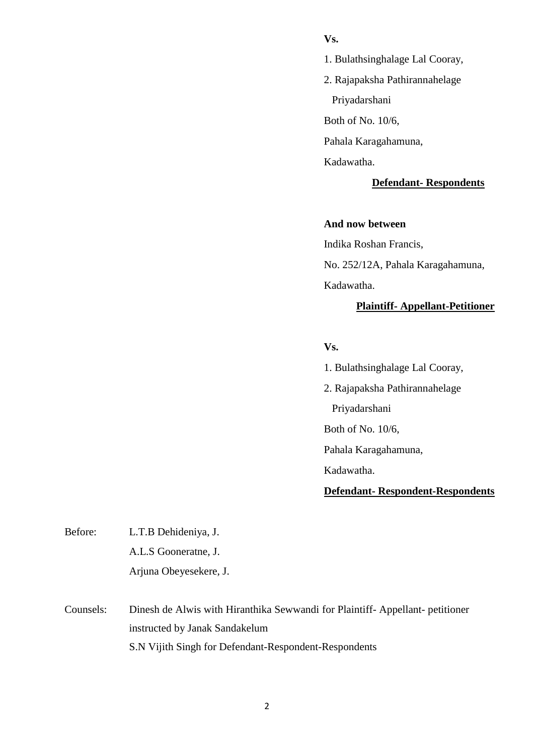## **Vs.**

- 1. Bulathsinghalage Lal Cooray,
- 2. Rajapaksha Pathirannahelage
	- Priyadarshani

Both of No. 10/6,

Pahala Karagahamuna,

Kadawatha.

### **Defendant- Respondents**

### **And now between**

Indika Roshan Francis, No. 252/12A, Pahala Karagahamuna, Kadawatha.

## **Plaintiff- Appellant-Petitioner**

## **Vs.**

- 1. Bulathsinghalage Lal Cooray,
- 2. Rajapaksha Pathirannahelage Priyadarshani Both of No. 10/6, Pahala Karagahamuna,

Kadawatha.

## **Defendant- Respondent-Respondents**

| Before: | L.T.B Dehideniya, J.   |
|---------|------------------------|
|         | A.L.S Gooneratne, J.   |
|         | Arjuna Obeyesekere, J. |

Counsels: Dinesh de Alwis with Hiranthika Sewwandi for Plaintiff- Appellant- petitioner instructed by Janak Sandakelum S.N Vijith Singh for Defendant-Respondent-Respondents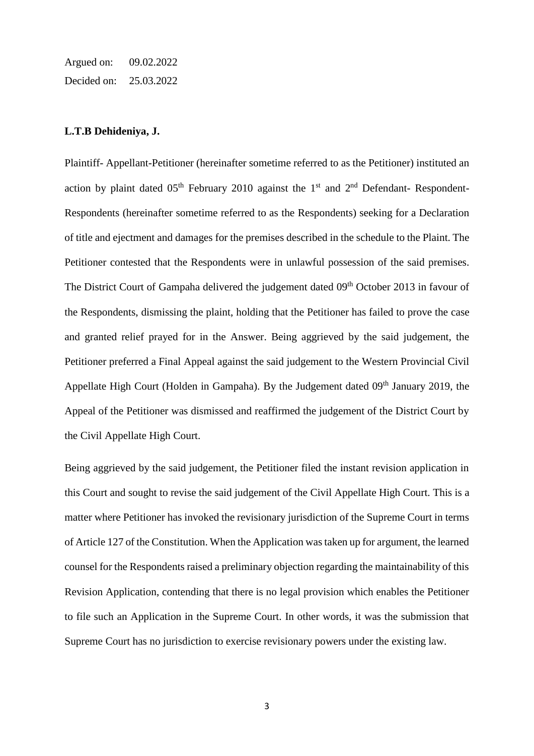Argued on: 09.02.2022 Decided on: 25.03.2022

#### **L.T.B Dehideniya, J.**

Plaintiff- Appellant-Petitioner (hereinafter sometime referred to as the Petitioner) instituted an action by plaint dated  $0.5<sup>th</sup>$  February 2010 against the 1<sup>st</sup> and 2<sup>nd</sup> Defendant- Respondent-Respondents (hereinafter sometime referred to as the Respondents) seeking for a Declaration of title and ejectment and damages for the premises described in the schedule to the Plaint. The Petitioner contested that the Respondents were in unlawful possession of the said premises. The District Court of Gampaha delivered the judgement dated 09<sup>th</sup> October 2013 in favour of the Respondents, dismissing the plaint, holding that the Petitioner has failed to prove the case and granted relief prayed for in the Answer. Being aggrieved by the said judgement, the Petitioner preferred a Final Appeal against the said judgement to the Western Provincial Civil Appellate High Court (Holden in Gampaha). By the Judgement dated  $09<sup>th</sup>$  January 2019, the Appeal of the Petitioner was dismissed and reaffirmed the judgement of the District Court by the Civil Appellate High Court.

Being aggrieved by the said judgement, the Petitioner filed the instant revision application in this Court and sought to revise the said judgement of the Civil Appellate High Court. This is a matter where Petitioner has invoked the revisionary jurisdiction of the Supreme Court in terms of Article 127 of the Constitution. When the Application was taken up for argument, the learned counsel for the Respondents raised a preliminary objection regarding the maintainability of this Revision Application, contending that there is no legal provision which enables the Petitioner to file such an Application in the Supreme Court. In other words, it was the submission that Supreme Court has no jurisdiction to exercise revisionary powers under the existing law.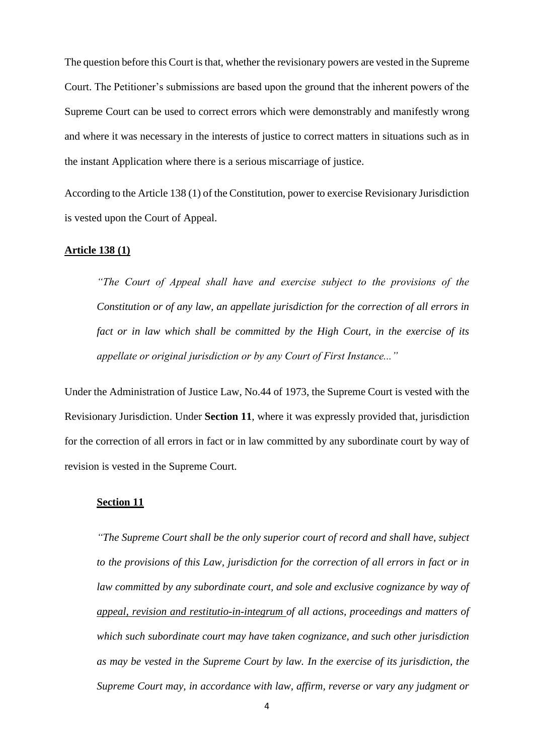The question before this Court is that, whether the revisionary powers are vested in the Supreme Court. The Petitioner's submissions are based upon the ground that the inherent powers of the Supreme Court can be used to correct errors which were demonstrably and manifestly wrong and where it was necessary in the interests of justice to correct matters in situations such as in the instant Application where there is a serious miscarriage of justice.

According to the Article 138 (1) of the Constitution, power to exercise Revisionary Jurisdiction is vested upon the Court of Appeal.

#### **Article 138 (1)**

*"The Court of Appeal shall have and exercise subject to the provisions of the Constitution or of any law, an appellate jurisdiction for the correction of all errors in fact or in law which shall be committed by the High Court, in the exercise of its appellate or original jurisdiction or by any Court of First Instance..."*

Under the Administration of Justice Law, No.44 of 1973, the Supreme Court is vested with the Revisionary Jurisdiction. Under **Section 11**, where it was expressly provided that, jurisdiction for the correction of all errors in fact or in law committed by any subordinate court by way of revision is vested in the Supreme Court.

### **Section 11**

*"The Supreme Court shall be the only superior court of record and shall have, subject to the provisions of this Law, jurisdiction for the correction of all errors in fact or in law committed by any subordinate court, and sole and exclusive cognizance by way of appeal, revision and restitutio-in-integrum of all actions, proceedings and matters of which such subordinate court may have taken cognizance, and such other jurisdiction as may be vested in the Supreme Court by law. In the exercise of its jurisdiction, the Supreme Court may, in accordance with law, affirm, reverse or vary any judgment or*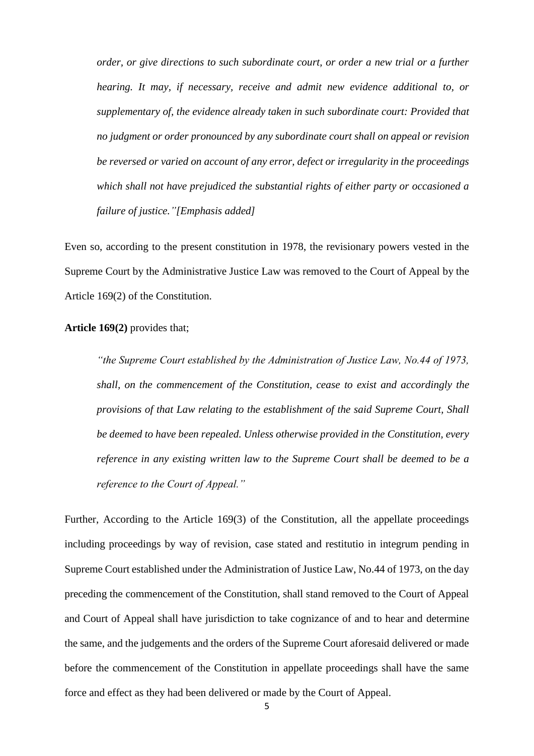*order, or give directions to such subordinate court, or order a new trial or a further hearing. It may, if necessary, receive and admit new evidence additional to, or supplementary of, the evidence already taken in such subordinate court: Provided that no judgment or order pronounced by any subordinate court shall on appeal or revision be reversed or varied on account of any error, defect or irregularity in the proceedings which shall not have prejudiced the substantial rights of either party or occasioned a failure of justice."[Emphasis added]*

Even so, according to the present constitution in 1978, the revisionary powers vested in the Supreme Court by the Administrative Justice Law was removed to the Court of Appeal by the Article 169(2) of the Constitution.

#### **Article 169(2)** provides that;

*"the Supreme Court established by the Administration of Justice Law, No.44 of 1973, shall, on the commencement of the Constitution, cease to exist and accordingly the provisions of that Law relating to the establishment of the said Supreme Court, Shall be deemed to have been repealed. Unless otherwise provided in the Constitution, every reference in any existing written law to the Supreme Court shall be deemed to be a reference to the Court of Appeal."*

Further, According to the Article 169(3) of the Constitution, all the appellate proceedings including proceedings by way of revision, case stated and restitutio in integrum pending in Supreme Court established under the Administration of Justice Law, No.44 of 1973, on the day preceding the commencement of the Constitution, shall stand removed to the Court of Appeal and Court of Appeal shall have jurisdiction to take cognizance of and to hear and determine the same, and the judgements and the orders of the Supreme Court aforesaid delivered or made before the commencement of the Constitution in appellate proceedings shall have the same force and effect as they had been delivered or made by the Court of Appeal.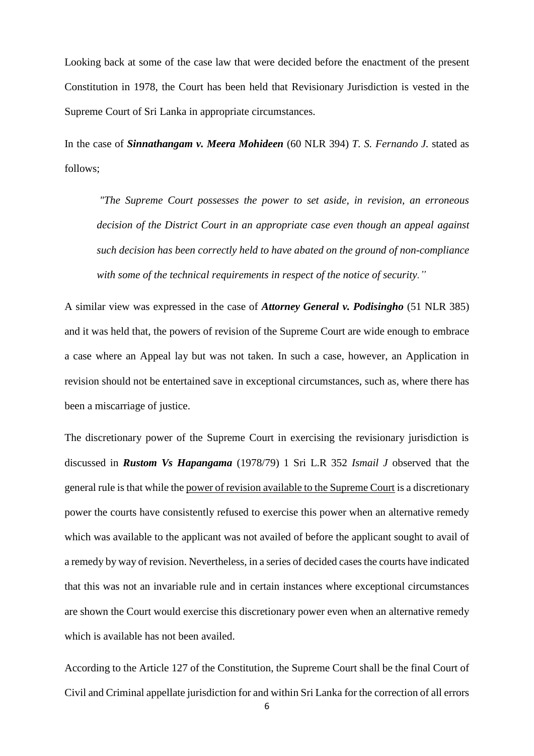Looking back at some of the case law that were decided before the enactment of the present Constitution in 1978, the Court has been held that Revisionary Jurisdiction is vested in the Supreme Court of Sri Lanka in appropriate circumstances.

In the case of *Sinnathangam v. Meera Mohideen* (60 NLR 394) *T. S. Fernando J.* stated as follows;

*"The Supreme Court possesses the power to set aside, in revision, an erroneous decision of the District Court in an appropriate case even though an appeal against such decision has been correctly held to have abated on the ground of non-compliance with some of the technical requirements in respect of the notice of security."*

A similar view was expressed in the case of *Attorney General v. Podisingho* (51 NLR 385) and it was held that, the powers of revision of the Supreme Court are wide enough to embrace a case where an Appeal lay but was not taken. In such a case, however, an Application in revision should not be entertained save in exceptional circumstances, such as, where there has been a miscarriage of justice.

The discretionary power of the Supreme Court in exercising the revisionary jurisdiction is discussed in *Rustom Vs Hapangama* (1978/79) 1 Sri L.R 352 *Ismail J* observed that the general rule is that while the power of revision available to the Supreme Court is a discretionary power the courts have consistently refused to exercise this power when an alternative remedy which was available to the applicant was not availed of before the applicant sought to avail of a remedy by way of revision. Nevertheless, in a series of decided cases the courts have indicated that this was not an invariable rule and in certain instances where exceptional circumstances are shown the Court would exercise this discretionary power even when an alternative remedy which is available has not been availed.

According to the Article 127 of the Constitution, the Supreme Court shall be the final Court of Civil and Criminal appellate jurisdiction for and within Sri Lanka for the correction of all errors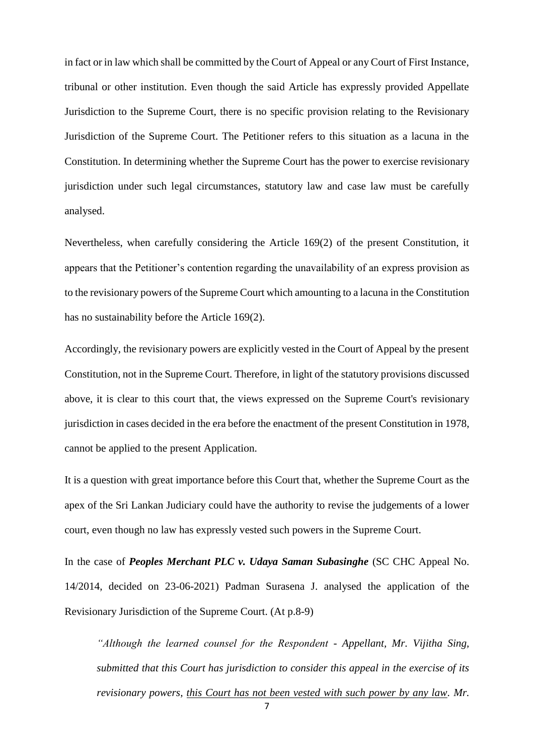in fact or in law which shall be committed by the Court of Appeal or any Court of First Instance, tribunal or other institution. Even though the said Article has expressly provided Appellate Jurisdiction to the Supreme Court, there is no specific provision relating to the Revisionary Jurisdiction of the Supreme Court. The Petitioner refers to this situation as a lacuna in the Constitution. In determining whether the Supreme Court has the power to exercise revisionary jurisdiction under such legal circumstances, statutory law and case law must be carefully analysed.

Nevertheless, when carefully considering the Article 169(2) of the present Constitution, it appears that the Petitioner's contention regarding the unavailability of an express provision as to the revisionary powers of the Supreme Court which amounting to a lacuna in the Constitution has no sustainability before the Article 169(2).

Accordingly, the revisionary powers are explicitly vested in the Court of Appeal by the present Constitution, not in the Supreme Court. Therefore, in light of the statutory provisions discussed above, it is clear to this court that, the views expressed on the Supreme Court's revisionary jurisdiction in cases decided in the era before the enactment of the present Constitution in 1978, cannot be applied to the present Application.

It is a question with great importance before this Court that, whether the Supreme Court as the apex of the Sri Lankan Judiciary could have the authority to revise the judgements of a lower court, even though no law has expressly vested such powers in the Supreme Court.

In the case of *Peoples Merchant PLC v. Udaya Saman Subasinghe* (SC CHC Appeal No. 14/2014, decided on 23-06-2021) Padman Surasena J. analysed the application of the Revisionary Jurisdiction of the Supreme Court. (At p.8-9)

*"Although the learned counsel for the Respondent - Appellant, Mr. Vijitha Sing, submitted that this Court has jurisdiction to consider this appeal in the exercise of its revisionary powers, this Court has not been vested with such power by any law. Mr.*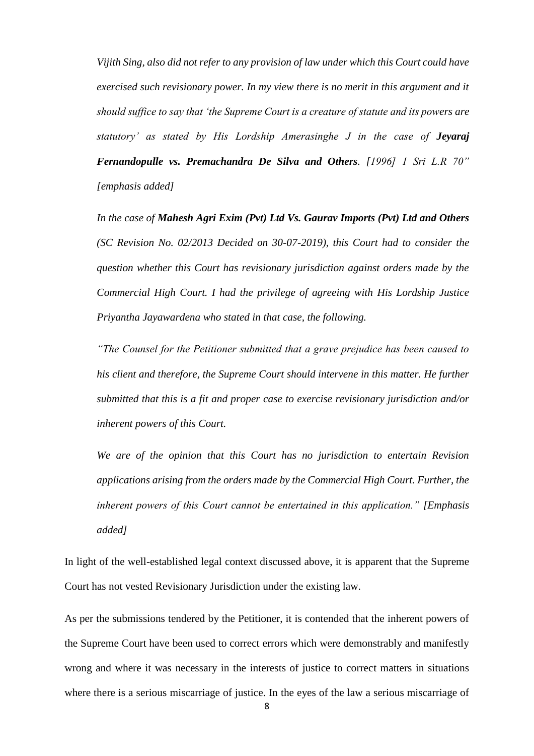*Vijith Sing, also did not refer to any provision of law under which this Court could have exercised such revisionary power. In my view there is no merit in this argument and it should suffice to say that 'the Supreme Court is a creature of statute and its powers are statutory' as stated by His Lordship Amerasinghe J in the case of Jeyaraj Fernandopulle vs. Premachandra De Silva and Others. [1996] 1 Sri L.R 70" [emphasis added]*

*In the case of Mahesh Agri Exim (Pvt) Ltd Vs. Gaurav Imports (Pvt) Ltd and Others (SC Revision No. 02/2013 Decided on 30-07-2019), this Court had to consider the question whether this Court has revisionary jurisdiction against orders made by the Commercial High Court. I had the privilege of agreeing with His Lordship Justice Priyantha Jayawardena who stated in that case, the following.*

*"The Counsel for the Petitioner submitted that a grave prejudice has been caused to his client and therefore, the Supreme Court should intervene in this matter. He further submitted that this is a fit and proper case to exercise revisionary jurisdiction and/or inherent powers of this Court.*

*We are of the opinion that this Court has no jurisdiction to entertain Revision applications arising from the orders made by the Commercial High Court. Further, the inherent powers of this Court cannot be entertained in this application." [Emphasis added]*

In light of the well-established legal context discussed above, it is apparent that the Supreme Court has not vested Revisionary Jurisdiction under the existing law.

As per the submissions tendered by the Petitioner, it is contended that the inherent powers of the Supreme Court have been used to correct errors which were demonstrably and manifestly wrong and where it was necessary in the interests of justice to correct matters in situations where there is a serious miscarriage of justice. In the eyes of the law a serious miscarriage of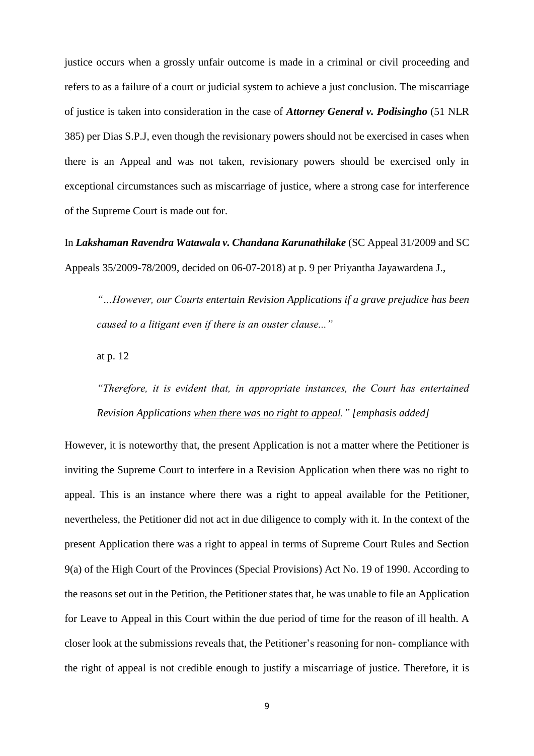justice occurs when a grossly unfair outcome is made in a criminal or civil proceeding and refers to as a failure of a court or judicial system to achieve a just conclusion. The miscarriage of justice is taken into consideration in the case of *Attorney General v. Podisingho* (51 NLR 385) per Dias S.P.J, even though the revisionary powers should not be exercised in cases when there is an Appeal and was not taken, revisionary powers should be exercised only in exceptional circumstances such as miscarriage of justice, where a strong case for interference of the Supreme Court is made out for.

In *Lakshaman Ravendra Watawala v. Chandana Karunathilake* (SC Appeal 31/2009 and SC Appeals 35/2009-78/2009, decided on 06-07-2018) at p. 9 per Priyantha Jayawardena J.,

*"…However, our Courts entertain Revision Applications if a grave prejudice has been caused to a litigant even if there is an ouster clause..."*

at p. 12

*"Therefore, it is evident that, in appropriate instances, the Court has entertained Revision Applications when there was no right to appeal." [emphasis added]*

However, it is noteworthy that, the present Application is not a matter where the Petitioner is inviting the Supreme Court to interfere in a Revision Application when there was no right to appeal. This is an instance where there was a right to appeal available for the Petitioner, nevertheless, the Petitioner did not act in due diligence to comply with it. In the context of the present Application there was a right to appeal in terms of Supreme Court Rules and Section 9(a) of the High Court of the Provinces (Special Provisions) Act No. 19 of 1990. According to the reasons set out in the Petition, the Petitioner states that, he was unable to file an Application for Leave to Appeal in this Court within the due period of time for the reason of ill health. A closer look at the submissions reveals that, the Petitioner's reasoning for non- compliance with the right of appeal is not credible enough to justify a miscarriage of justice. Therefore, it is